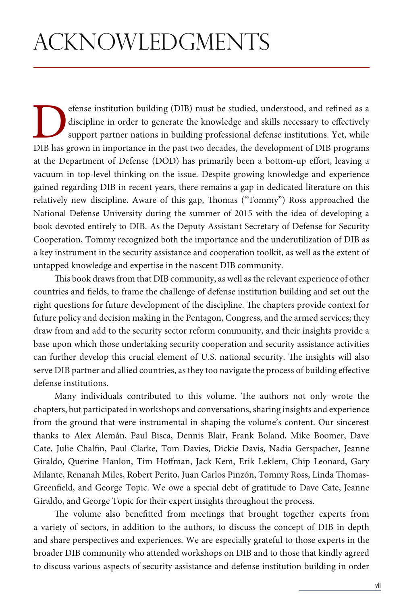efense institution building (DIB) must be studied, understood, and refined as a discipline in order to generate the knowledge and skills necessary to effectively support partner nations in building professional defense ins discipline in order to generate the knowledge and skills necessary to effectively support partner nations in building professional defense institutions. Yet, while DIB has grown in importance in the past two decades, the development of DIB programs at the Department of Defense (DOD) has primarily been a bottom-up effort, leaving a vacuum in top-level thinking on the issue. Despite growing knowledge and experience gained regarding DIB in recent years, there remains a gap in dedicated literature on this relatively new discipline. Aware of this gap, Thomas ("Tommy") Ross approached the National Defense University during the summer of 2015 with the idea of developing a book devoted entirely to DIB. As the Deputy Assistant Secretary of Defense for Security Cooperation, Tommy recognized both the importance and the underutilization of DIB as a key instrument in the security assistance and cooperation toolkit, as well as the extent of untapped knowledge and expertise in the nascent DIB community.

This book draws from that DIB community, as well as the relevant experience of other countries and fields, to frame the challenge of defense institution building and set out the right questions for future development of the discipline. The chapters provide context for future policy and decision making in the Pentagon, Congress, and the armed services; they draw from and add to the security sector reform community, and their insights provide a base upon which those undertaking security cooperation and security assistance activities can further develop this crucial element of U.S. national security. The insights will also serve DIB partner and allied countries, as they too navigate the process of building effective defense institutions.

Many individuals contributed to this volume. The authors not only wrote the chapters, but participated in workshops and conversations, sharing insights and experience from the ground that were instrumental in shaping the volume's content. Our sincerest thanks to Alex Alemán, Paul Bisca, Dennis Blair, Frank Boland, Mike Boomer, Dave Cate, Julie Chalfin, Paul Clarke, Tom Davies, Dickie Davis, Nadia Gerspacher, Jeanne Giraldo, Querine Hanlon, Tim Hoffman, Jack Kem, Erik Leklem, Chip Leonard, Gary Milante, Renanah Miles, Robert Perito, Juan Carlos Pinzón, Tommy Ross, Linda Thomas-Greenfield, and George Topic. We owe a special debt of gratitude to Dave Cate, Jeanne Giraldo, and George Topic for their expert insights throughout the process.

The volume also benefitted from meetings that brought together experts from a variety of sectors, in addition to the authors, to discuss the concept of DIB in depth and share perspectives and experiences. We are especially grateful to those experts in the broader DIB community who attended workshops on DIB and to those that kindly agreed to discuss various aspects of security assistance and defense institution building in order